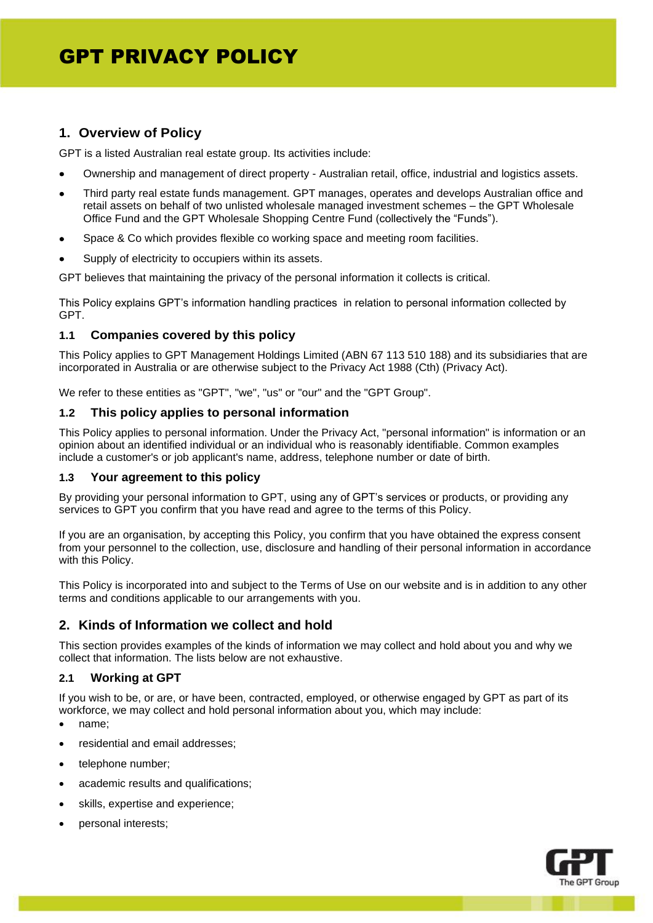# **1. Overview of Policy**

GPT is a listed Australian real estate group. Its activities include:

- Ownership and management of direct property Australian retail, office, industrial and logistics assets.
- Third party real estate funds management. GPT manages, operates and develops Australian office and retail assets on behalf of two unlisted wholesale managed investment schemes – the GPT Wholesale Office Fund and the GPT Wholesale Shopping Centre Fund (collectively the "Funds").
- Space & Co which provides flexible co working space and meeting room facilities.
- Supply of electricity to occupiers within its assets.

GPT believes that maintaining the privacy of the personal information it collects is critical.

This Policy explains GPT's information handling practices in relation to personal information collected by GPT.

## **1.1 Companies covered by this policy**

This Policy applies to GPT Management Holdings Limited (ABN 67 113 510 188) and its subsidiaries that are incorporated in Australia or are otherwise subject to the Privacy Act 1988 (Cth) (Privacy Act).

We refer to these entities as "GPT", "we", "us" or "our" and the "GPT Group".

## **1.2 This policy applies to personal information**

This Policy applies to personal information. Under the Privacy Act, "personal information" is information or an opinion about an identified individual or an individual who is reasonably identifiable. Common examples include a customer's or job applicant's name, address, telephone number or date of birth.

## **1.3 Your agreement to this policy**

By providing your personal information to GPT, using any of GPT's services or products, or providing any services to GPT you confirm that you have read and agree to the terms of this Policy.

If you are an organisation, by accepting this Policy, you confirm that you have obtained the express consent from your personnel to the collection, use, disclosure and handling of their personal information in accordance with this Policy.

This Policy is incorporated into and subject to the Terms of Use on our website and is in addition to any other terms and conditions applicable to our arrangements with you.

# **2. Kinds of Information we collect and hold**

This section provides examples of the kinds of information we may collect and hold about you and why we collect that information. The lists below are not exhaustive.

# **2.1 Working at GPT**

If you wish to be, or are, or have been, contracted, employed, or otherwise engaged by GPT as part of its workforce, we may collect and hold personal information about you, which may include:

- name;
- residential and email addresses;
- telephone number;
- academic results and qualifications;
- skills, expertise and experience:
- personal interests;

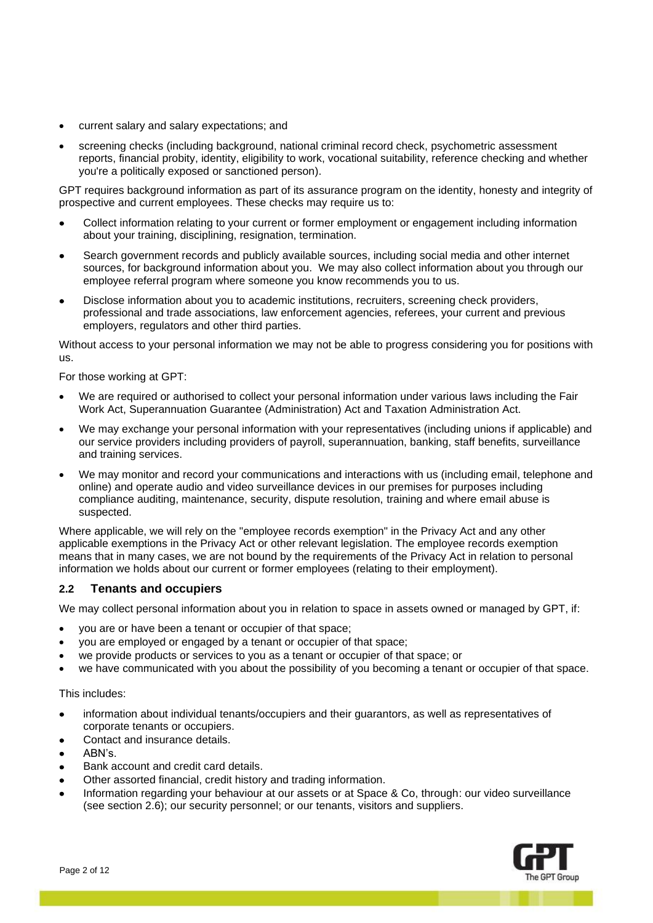- current salary and salary expectations; and
- screening checks (including background, national criminal record check, psychometric assessment reports, financial probity, identity, eligibility to work, vocational suitability, reference checking and whether you're a politically exposed or sanctioned person).

GPT requires background information as part of its assurance program on the identity, honesty and integrity of prospective and current employees. These checks may require us to:

- Collect information relating to your current or former employment or engagement including information about your training, disciplining, resignation, termination.
- Search government records and publicly available sources, including social media and other internet sources, for background information about you. We may also collect information about you through our employee referral program where someone you know recommends you to us.
- Disclose information about you to academic institutions, recruiters, screening check providers, professional and trade associations, law enforcement agencies, referees, your current and previous employers, regulators and other third parties.

Without access to your personal information we may not be able to progress considering you for positions with us.

For those working at GPT:

- We are required or authorised to collect your personal information under various laws including the Fair Work Act, Superannuation Guarantee (Administration) Act and Taxation Administration Act.
- We may exchange your personal information with your representatives (including unions if applicable) and our service providers including providers of payroll, superannuation, banking, staff benefits, surveillance and training services.
- We may monitor and record your communications and interactions with us (including email, telephone and online) and operate audio and video surveillance devices in our premises for purposes including compliance auditing, maintenance, security, dispute resolution, training and where email abuse is suspected.

Where applicable, we will rely on the "employee records exemption" in the Privacy Act and any other applicable exemptions in the Privacy Act or other relevant legislation. The employee records exemption means that in many cases, we are not bound by the requirements of the Privacy Act in relation to personal information we holds about our current or former employees (relating to their employment).

## **2.2 Tenants and occupiers**

We may collect personal information about you in relation to space in assets owned or managed by GPT, if:

- you are or have been a tenant or occupier of that space;
- you are employed or engaged by a tenant or occupier of that space;
- we provide products or services to you as a tenant or occupier of that space; or
- we have communicated with you about the possibility of you becoming a tenant or occupier of that space.

#### This includes:

- information about individual tenants/occupiers and their guarantors, as well as representatives of corporate tenants or occupiers.
- Contact and insurance details.
- ABN's.
- Bank account and credit card details.
- Other assorted financial, credit history and trading information.
- Information regarding your behaviour at our assets or at Space & Co, through: our video surveillance (see section 2.6); our security personnel; or our tenants, visitors and suppliers.

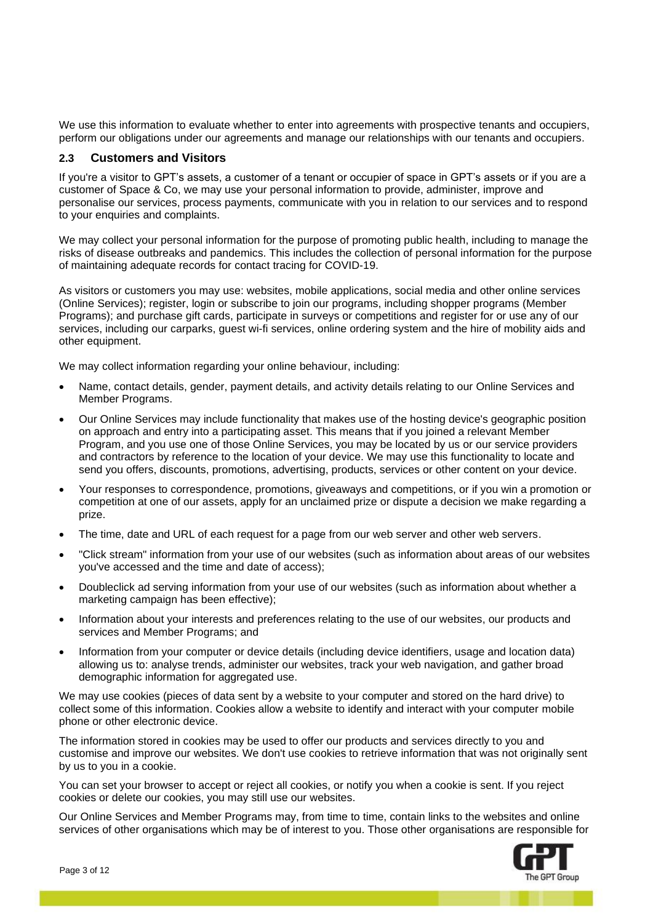We use this information to evaluate whether to enter into agreements with prospective tenants and occupiers, perform our obligations under our agreements and manage our relationships with our tenants and occupiers.

## **2.3 Customers and Visitors**

If you're a visitor to GPT's assets, a customer of a tenant or occupier of space in GPT's assets or if you are a customer of Space & Co, we may use your personal information to provide, administer, improve and personalise our services, process payments, communicate with you in relation to our services and to respond to your enquiries and complaints.

We may collect your personal information for the purpose of promoting public health, including to manage the risks of disease outbreaks and pandemics. This includes the collection of personal information for the purpose of maintaining adequate records for contact tracing for COVID-19.

As visitors or customers you may use: websites, mobile applications, social media and other online services (Online Services); register, login or subscribe to join our programs, including shopper programs (Member Programs); and purchase gift cards, participate in surveys or competitions and register for or use any of our services, including our carparks, guest wi-fi services, online ordering system and the hire of mobility aids and other equipment.

We may collect information regarding your online behaviour, including:

- Name, contact details, gender, payment details, and activity details relating to our Online Services and Member Programs.
- Our Online Services may include functionality that makes use of the hosting device's geographic position on approach and entry into a participating asset. This means that if you joined a relevant Member Program, and you use one of those Online Services, you may be located by us or our service providers and contractors by reference to the location of your device. We may use this functionality to locate and send you offers, discounts, promotions, advertising, products, services or other content on your device.
- Your responses to correspondence, promotions, giveaways and competitions, or if you win a promotion or competition at one of our assets, apply for an unclaimed prize or dispute a decision we make regarding a prize.
- The time, date and URL of each request for a page from our web server and other web servers.
- "Click stream" information from your use of our websites (such as information about areas of our websites you've accessed and the time and date of access);
- Doubleclick ad serving information from your use of our websites (such as information about whether a marketing campaign has been effective);
- Information about your interests and preferences relating to the use of our websites, our products and services and Member Programs; and
- Information from your computer or device details (including device identifiers, usage and location data) allowing us to: analyse trends, administer our websites, track your web navigation, and gather broad demographic information for aggregated use.

We may use cookies (pieces of data sent by a website to your computer and stored on the hard drive) to collect some of this information. Cookies allow a website to identify and interact with your computer mobile phone or other electronic device.

The information stored in cookies may be used to offer our products and services directly to you and customise and improve our websites. We don't use cookies to retrieve information that was not originally sent by us to you in a cookie.

You can set your browser to accept or reject all cookies, or notify you when a cookie is sent. If you reject cookies or delete our cookies, you may still use our websites.

Our Online Services and Member Programs may, from time to time, contain links to the websites and online services of other organisations which may be of interest to you. Those other organisations are responsible for

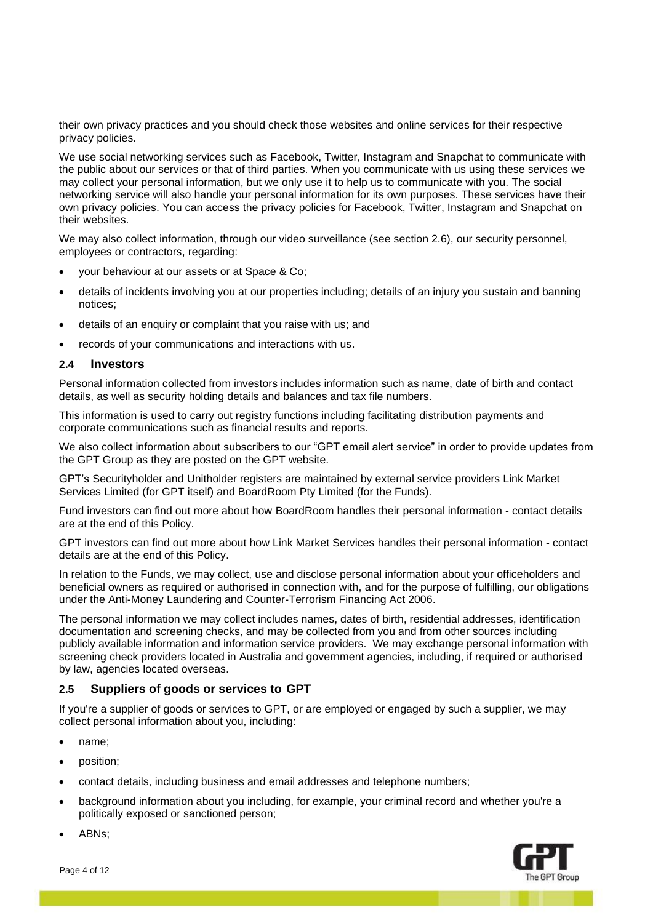their own privacy practices and you should check those websites and online services for their respective privacy policies.

We use social networking services such as Facebook, Twitter, Instagram and Snapchat to communicate with the public about our services or that of third parties. When you communicate with us using these services we may collect your personal information, but we only use it to help us to communicate with you. The social networking service will also handle your personal information for its own purposes. These services have their own privacy policies. You can access the privacy policies for Facebook, Twitter, Instagram and Snapchat on their websites.

We may also collect information, through our video surveillance (see section 2.6), our security personnel, employees or contractors, regarding:

- your behaviour at our assets or at Space & Co;
- details of incidents involving you at our properties including; details of an injury you sustain and banning notices;
- details of an enquiry or complaint that you raise with us; and
- records of your communications and interactions with us.

## **2.4 Investors**

Personal information collected from investors includes information such as name, date of birth and contact details, as well as security holding details and balances and tax file numbers.

This information is used to carry out registry functions including facilitating distribution payments and corporate communications such as financial results and reports.

We also collect information about subscribers to our "GPT email alert service" in order to provide updates from the GPT Group as they are posted on the GPT website.

GPT's Securityholder and Unitholder registers are maintained by external service providers Link Market Services Limited (for GPT itself) and BoardRoom Pty Limited (for the Funds).

Fund investors can find out more about how BoardRoom handles their personal information - contact details are at the end of this Policy.

GPT investors can find out more about how Link Market Services handles their personal information - contact details are at the end of this Policy.

In relation to the Funds, we may collect, use and disclose personal information about your officeholders and beneficial owners as required or authorised in connection with, and for the purpose of fulfilling, our obligations under the Anti-Money Laundering and Counter-Terrorism Financing Act 2006.

The personal information we may collect includes names, dates of birth, residential addresses, identification documentation and screening checks, and may be collected from you and from other sources including publicly available information and information service providers. We may exchange personal information with screening check providers located in Australia and government agencies, including, if required or authorised by law, agencies located overseas.

## **2.5 Suppliers of goods or services to GPT**

If you're a supplier of goods or services to GPT, or are employed or engaged by such a supplier, we may collect personal information about you, including:

- name;
- position;
- contact details, including business and email addresses and telephone numbers;
- background information about you including, for example, your criminal record and whether you're a politically exposed or sanctioned person;



• ABNs;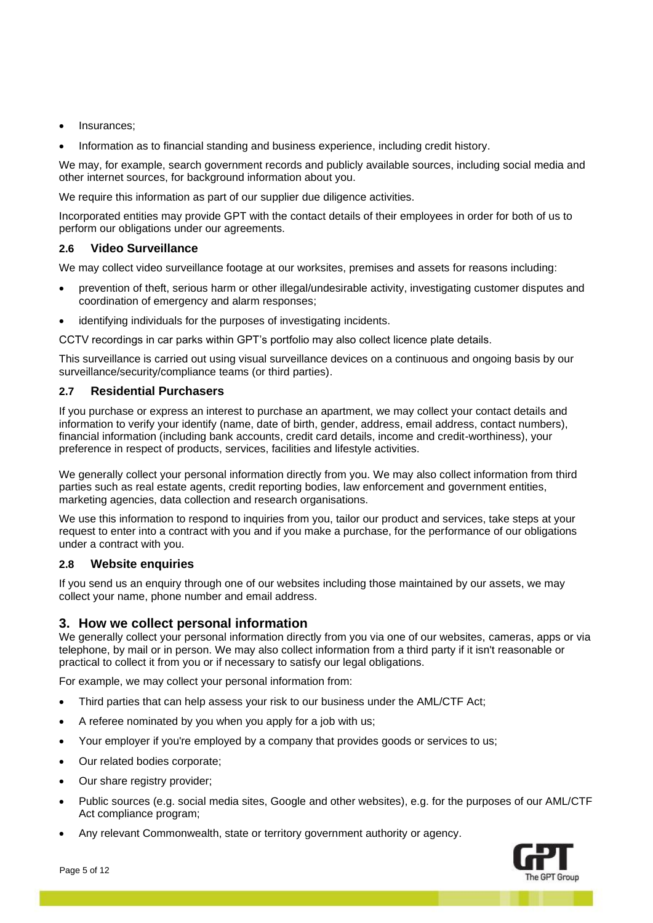- Insurances;
- Information as to financial standing and business experience, including credit history.

We may, for example, search government records and publicly available sources, including social media and other internet sources, for background information about you.

We require this information as part of our supplier due diligence activities.

Incorporated entities may provide GPT with the contact details of their employees in order for both of us to perform our obligations under our agreements.

## **2.6 Video Surveillance**

We may collect video surveillance footage at our worksites, premises and assets for reasons including:

- prevention of theft, serious harm or other illegal/undesirable activity, investigating customer disputes and coordination of emergency and alarm responses;
- identifying individuals for the purposes of investigating incidents.

CCTV recordings in car parks within GPT's portfolio may also collect licence plate details.

This surveillance is carried out using visual surveillance devices on a continuous and ongoing basis by our surveillance/security/compliance teams (or third parties).

## **2.7 Residential Purchasers**

If you purchase or express an interest to purchase an apartment, we may collect your contact details and information to verify your identify (name, date of birth, gender, address, email address, contact numbers), financial information (including bank accounts, credit card details, income and credit-worthiness), your preference in respect of products, services, facilities and lifestyle activities.

We generally collect your personal information directly from you. We may also collect information from third parties such as real estate agents, credit reporting bodies, law enforcement and government entities, marketing agencies, data collection and research organisations.

We use this information to respond to inquiries from you, tailor our product and services, take steps at your request to enter into a contract with you and if you make a purchase, for the performance of our obligations under a contract with you.

## **2.8 Website enquiries**

If you send us an enquiry through one of our websites including those maintained by our assets, we may collect your name, phone number and email address.

# **3. How we collect personal information**

We generally collect your personal information directly from you via one of our websites, cameras, apps or via telephone, by mail or in person. We may also collect information from a third party if it isn't reasonable or practical to collect it from you or if necessary to satisfy our legal obligations.

For example, we may collect your personal information from:

- Third parties that can help assess your risk to our business under the AML/CTF Act;
- A referee nominated by you when you apply for a job with us;
- Your employer if you're employed by a company that provides goods or services to us;
- Our related bodies corporate;
- Our share registry provider;
- Public sources (e.g. social media sites, Google and other websites), e.g. for the purposes of our AML/CTF Act compliance program;
- Any relevant Commonwealth, state or territory government authority or agency.

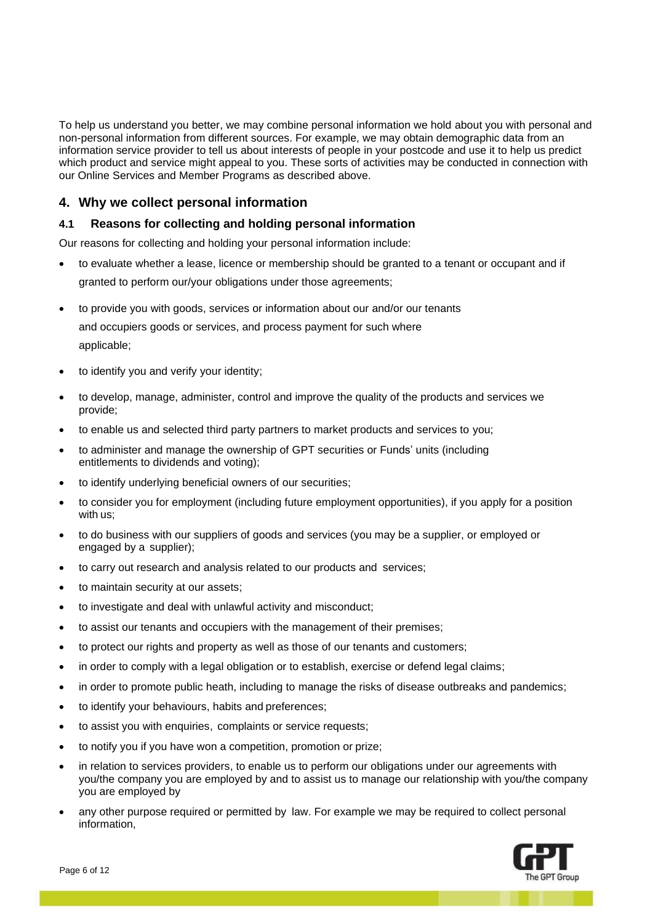To help us understand you better, we may combine personal information we hold about you with personal and non-personal information from different sources. For example, we may obtain demographic data from an information service provider to tell us about interests of people in your postcode and use it to help us predict which product and service might appeal to you. These sorts of activities may be conducted in connection with our Online Services and Member Programs as described above.

# **4. Why we collect personal information**

# **4.1 Reasons for collecting and holding personal information**

Our reasons for collecting and holding your personal information include:

- to evaluate whether a lease, licence or membership should be granted to a tenant or occupant and if granted to perform our/your obligations under those agreements;
- to provide you with goods, services or information about our and/or our tenants and occupiers goods or services, and process payment for such where applicable;
- to identify you and verify your identity;
- to develop, manage, administer, control and improve the quality of the products and services we provide;
- to enable us and selected third party partners to market products and services to you;
- to administer and manage the ownership of GPT securities or Funds' units (including entitlements to dividends and voting);
- to identify underlying beneficial owners of our securities;
- to consider you for employment (including future employment opportunities), if you apply for a position with us;
- to do business with our suppliers of goods and services (you may be a supplier, or employed or engaged by a supplier);
- to carry out research and analysis related to our products and services;
- to maintain security at our assets;
- to investigate and deal with unlawful activity and misconduct;
- to assist our tenants and occupiers with the management of their premises;
- to protect our rights and property as well as those of our tenants and customers;
- in order to comply with a legal obligation or to establish, exercise or defend legal claims;
- in order to promote public heath, including to manage the risks of disease outbreaks and pandemics;
- to identify your behaviours, habits and preferences;
- to assist you with enquiries, complaints or service requests;
- to notify you if you have won a competition, promotion or prize;
- in relation to services providers, to enable us to perform our obligations under our agreements with you/the company you are employed by and to assist us to manage our relationship with you/the company you are employed by
- any other purpose required or permitted by law. For example we may be required to collect personal information,

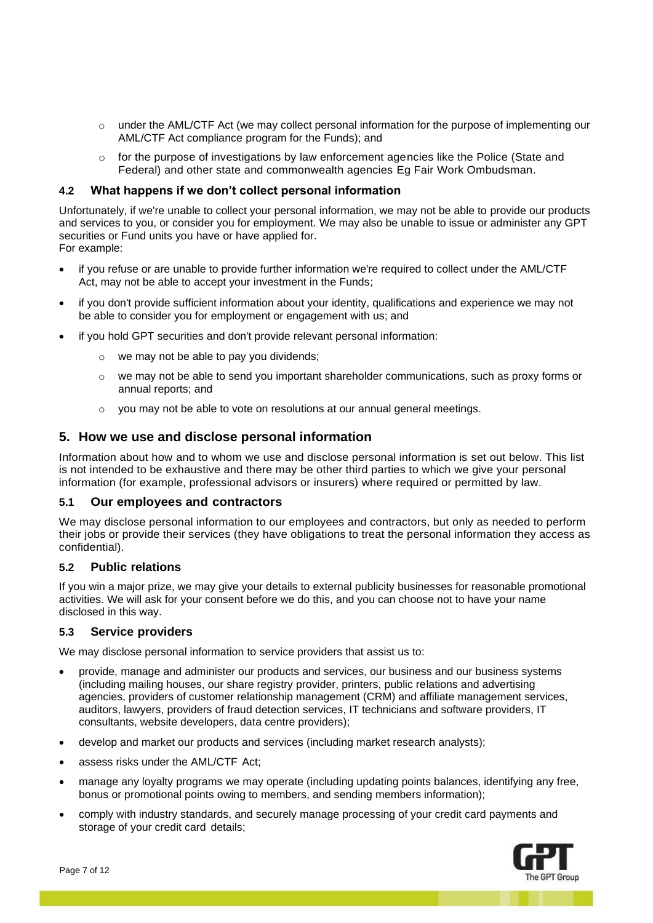- $\circ$  under the AML/CTF Act (we may collect personal information for the purpose of implementing our AML/CTF Act compliance program for the Funds); and
- $\circ$  for the purpose of investigations by law enforcement agencies like the Police (State and Federal) and other state and commonwealth agencies Eg Fair Work Ombudsman.

### **4.2 What happens if we don't collect personal information**

Unfortunately, if we're unable to collect your personal information, we may not be able to provide our products and services to you, or consider you for employment. We may also be unable to issue or administer any GPT securities or Fund units you have or have applied for. For example:

- if you refuse or are unable to provide further information we're required to collect under the AML/CTF Act, may not be able to accept your investment in the Funds;
- if you don't provide sufficient information about your identity, qualifications and experience we may not be able to consider you for employment or engagement with us; and
- if you hold GPT securities and don't provide relevant personal information:
	- we may not be able to pay you dividends;
	- $\circ$  we may not be able to send you important shareholder communications, such as proxy forms or annual reports; and
	- $\circ$  vou may not be able to vote on resolutions at our annual general meetings.

## **5. How we use and disclose personal information**

Information about how and to whom we use and disclose personal information is set out below. This list is not intended to be exhaustive and there may be other third parties to which we give your personal information (for example, professional advisors or insurers) where required or permitted by law.

#### **5.1 Our employees and contractors**

We may disclose personal information to our employees and contractors, but only as needed to perform their jobs or provide their services (they have obligations to treat the personal information they access as confidential).

## **5.2 Public relations**

If you win a major prize, we may give your details to external publicity businesses for reasonable promotional activities. We will ask for your consent before we do this, and you can choose not to have your name disclosed in this way.

#### **5.3 Service providers**

We may disclose personal information to service providers that assist us to:

- provide, manage and administer our products and services, our business and our business systems (including mailing houses, our share registry provider, printers, public relations and advertising agencies, providers of customer relationship management (CRM) and affiliate management services, auditors, lawyers, providers of fraud detection services, IT technicians and software providers, IT consultants, website developers, data centre providers);
- develop and market our products and services (including market research analysts);
- assess risks under the AML/CTF Act;
- manage any loyalty programs we may operate (including updating points balances, identifying any free, bonus or promotional points owing to members, and sending members information);
- comply with industry standards, and securely manage processing of your credit card payments and storage of your credit card details;

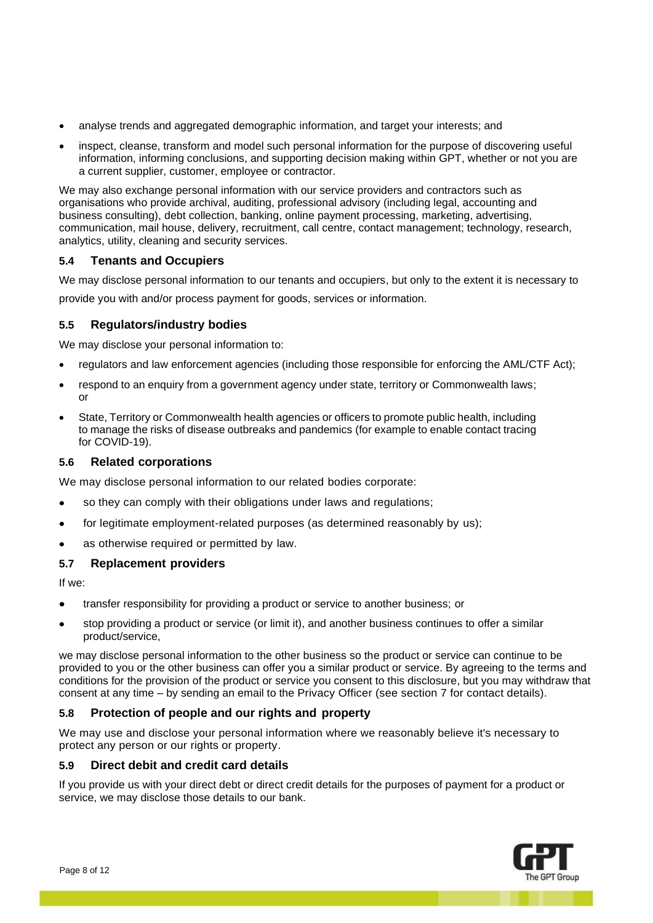- analyse trends and aggregated demographic information, and target your interests; and
- inspect, cleanse, transform and model such personal information for the purpose of discovering useful information, informing conclusions, and supporting decision making within GPT, whether or not you are a current supplier, customer, employee or contractor.

We may also exchange personal information with our service providers and contractors such as organisations who provide archival, auditing, professional advisory (including legal, accounting and business consulting), debt collection, banking, online payment processing, marketing, advertising, communication, mail house, delivery, recruitment, call centre, contact management; technology, research, analytics, utility, cleaning and security services.

## **5.4 Tenants and Occupiers**

We may disclose personal information to our tenants and occupiers, but only to the extent it is necessary to provide you with and/or process payment for goods, services or information.

## **5.5 Regulators/industry bodies**

We may disclose your personal information to:

- regulators and law enforcement agencies (including those responsible for enforcing the AML/CTF Act);
- respond to an enquiry from a government agency under state, territory or Commonwealth laws: or
- State, Territory or Commonwealth health agencies or officers to promote public health, including to manage the risks of disease outbreaks and pandemics (for example to enable contact tracing for COVID-19).

## **5.6 Related corporations**

We may disclose personal information to our related bodies corporate:

- so they can comply with their obligations under laws and regulations;
- for legitimate employment-related purposes (as determined reasonably by us);
- as otherwise required or permitted by law.

## **5.7 Replacement providers**

If we:

- transfer responsibility for providing a product or service to another business; or
- stop providing a product or service (or limit it), and another business continues to offer a similar product/service,

we may disclose personal information to the other business so the product or service can continue to be provided to you or the other business can offer you a similar product or service. By agreeing to the terms and conditions for the provision of the product or service you consent to this disclosure, but you may withdraw that consent at any time – by sending an email to the Privacy Officer (see section 7 for contact details).

## **5.8 Protection of people and our rights and property**

We may use and disclose your personal information where we reasonably believe it's necessary to protect any person or our rights or property.

## **5.9 Direct debit and credit card details**

If you provide us with your direct debt or direct credit details for the purposes of payment for a product or service, we may disclose those details to our bank.

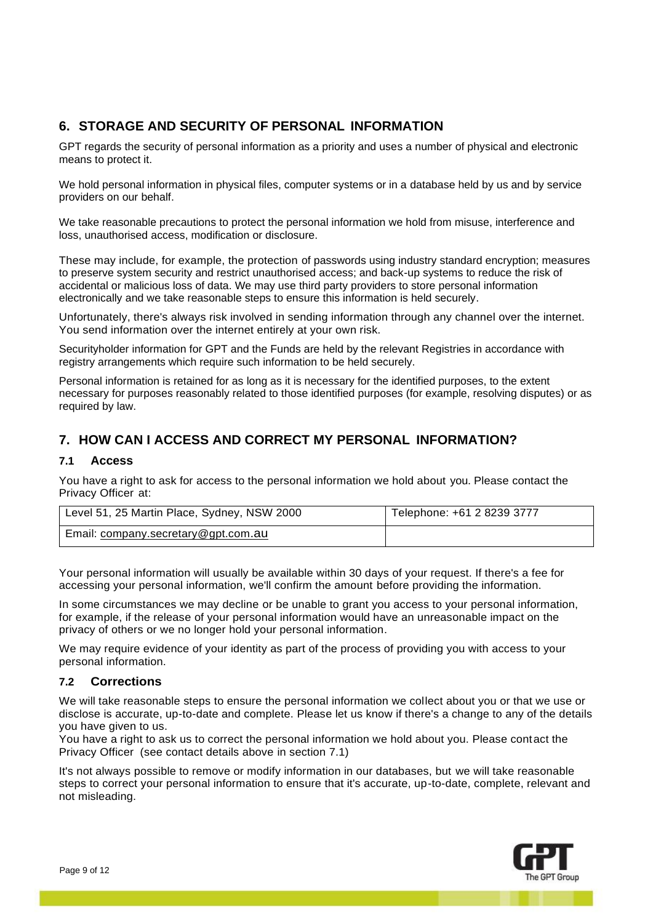# **6. STORAGE AND SECURITY OF PERSONAL INFORMATION**

GPT regards the security of personal information as a priority and uses a number of physical and electronic means to protect it.

We hold personal information in physical files, computer systems or in a database held by us and by service providers on our behalf.

We take reasonable precautions to protect the personal information we hold from misuse, interference and loss, unauthorised access, modification or disclosure.

These may include, for example, the protection of passwords using industry standard encryption; measures to preserve system security and restrict unauthorised access; and back-up systems to reduce the risk of accidental or malicious loss of data. We may use third party providers to store personal information electronically and we take reasonable steps to ensure this information is held securely.

Unfortunately, there's always risk involved in sending information through any channel over the internet. You send information over the internet entirely at your own risk.

Securityholder information for GPT and the Funds are held by the relevant Registries in accordance with registry arrangements which require such information to be held securely.

Personal information is retained for as long as it is necessary for the identified purposes, to the extent necessary for purposes reasonably related to those identified purposes (for example, resolving disputes) or as required by law.

# **7. HOW CAN I ACCESS AND CORRECT MY PERSONAL INFORMATION?**

# **7.1 Access**

You have a right to ask for access to the personal information we hold about you. Please contact the Privacy Officer at:

| Level 51, 25 Martin Place, Sydney, NSW 2000 | Telephone: +61 2 8239 3777 |
|---------------------------------------------|----------------------------|
| Email: company.secretary@gpt.com.au         |                            |

Your personal information will usually be available within 30 days of your request. If there's a fee for accessing your personal information, we'll confirm the amount before providing the information.

In some circumstances we may decline or be unable to grant you access to your personal information, for example, if the release of your personal information would have an unreasonable impact on the privacy of others or we no longer hold your personal information.

We may require evidence of your identity as part of the process of providing you with access to your personal information.

## **7.2 Corrections**

We will take reasonable steps to ensure the personal information we collect about you or that we use or disclose is accurate, up-to-date and complete. Please let us know if there's a change to any of the details you have given to us.

You have a right to ask us to correct the personal information we hold about you. Please contact the Privacy Officer (see contact details above in section 7.1)

It's not always possible to remove or modify information in our databases, but we will take reasonable steps to correct your personal information to ensure that it's accurate, up-to-date, complete, relevant and not misleading.

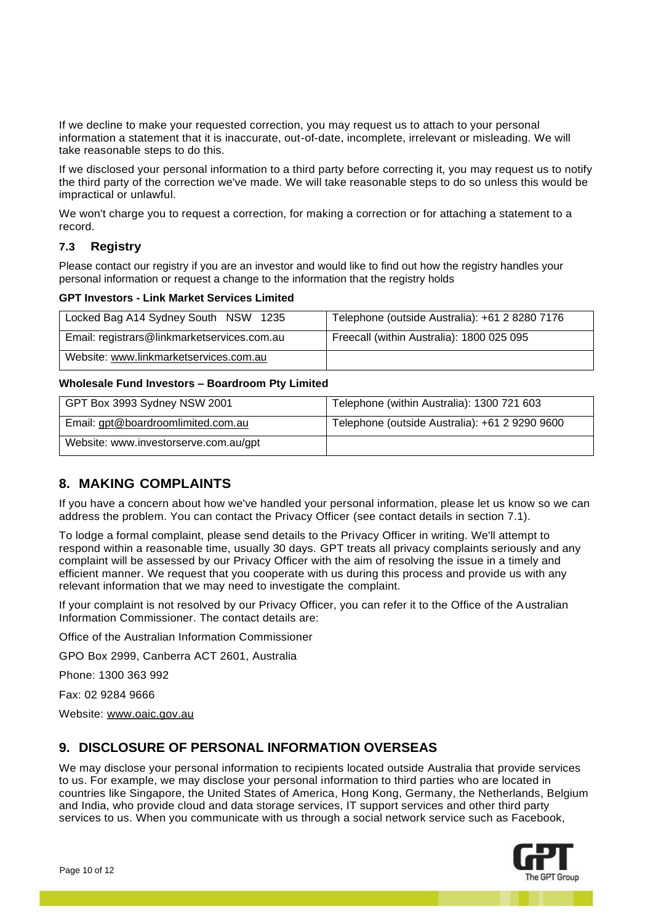If we decline to make your requested correction, you may request us to attach to your personal information a statement that it is inaccurate, out-of-date, incomplete, irrelevant or misleading. We will take reasonable steps to do this.

If we disclosed your personal information to a third party before correcting it, you may request us to notify the third party of the correction we've made. We will take reasonable steps to do so unless this would be impractical or unlawful.

We won't charge you to request a correction, for making a correction or for attaching a statement to a record.

# **7.3 Registry**

Please contact our registry if you are an investor and would like to find out how the registry handles your personal information or request a change to the information that the registry holds

#### **GPT Investors - Link Market Services Limited**

| Locked Bag A14 Sydney South NSW 1235        | Telephone (outside Australia): +61 2 8280 7176 |
|---------------------------------------------|------------------------------------------------|
| Email: registrars@linkmarketservices.com.au | Freecall (within Australia): 1800 025 095      |
| Website: www.linkmarketservices.com.au      |                                                |

#### **Wholesale Fund Investors – Boardroom Pty Limited**

| GPT Box 3993 Sydney NSW 2001          | Telephone (within Australia): 1300 721 603     |
|---------------------------------------|------------------------------------------------|
| Email: gpt@boardroomlimited.com.au    | Telephone (outside Australia): +61 2 9290 9600 |
| Website: www.investorserve.com.au/gpt |                                                |

# **8. MAKING COMPLAINTS**

If you have a concern about how we've handled your personal information, please let us know so we can address the problem. You can contact the Privacy Officer (see contact details in section 7.1).

To lodge a formal complaint, please send details to the Privacy Officer in writing. We'll attempt to respond within a reasonable time, usually 30 days. GPT treats all privacy complaints seriously and any complaint will be assessed by our Privacy Officer with the aim of resolving the issue in a timely and efficient manner. We request that you cooperate with us during this process and provide us with any relevant information that we may need to investigate the complaint.

If your complaint is not resolved by our Privacy Officer, you can refer it to the Office of the Australian Information Commissioner. The contact details are:

Office of the Australian Information Commissioner

GPO Box 2999, Canberra ACT 2601, Australia

Phone: 1300 363 992

Fax: 02 9284 9666

Website: [www.oaic.gov.au](http://www.oaic.gov.au/)

# **9. DISCLOSURE OF PERSONAL INFORMATION OVERSEAS**

We may disclose your personal information to recipients located outside Australia that provide services to us. For example, we may disclose your personal information to third parties who are located in countries like Singapore, the United States of America, Hong Kong, Germany, the Netherlands, Belgium and India, who provide cloud and data storage services, IT support services and other third party services to us. When you communicate with us through a social network service such as Facebook,

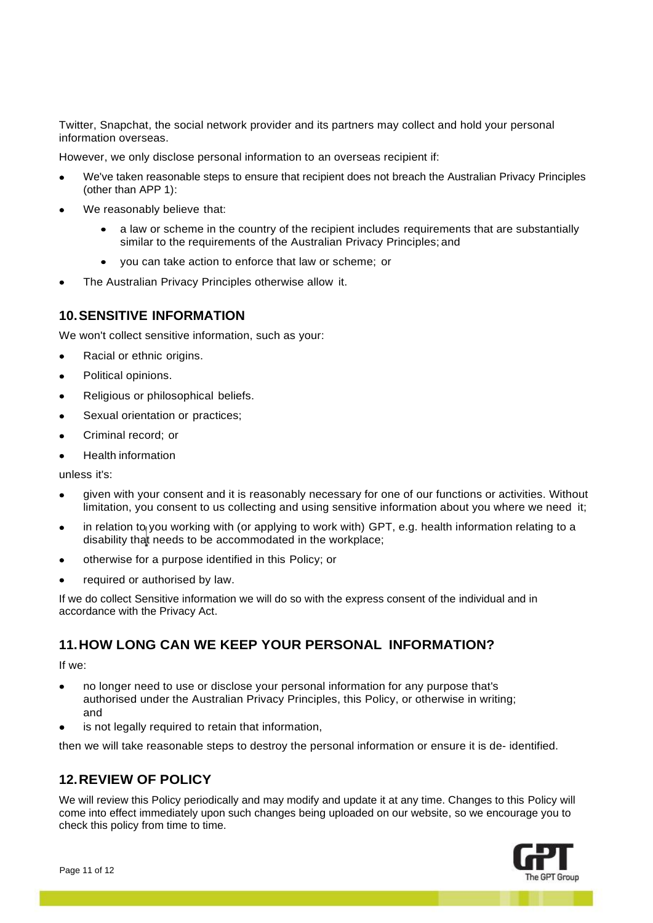Twitter, Snapchat, the social network provider and its partners may collect and hold your personal information overseas.

However, we only disclose personal information to an overseas recipient if:

- We've taken reasonable steps to ensure that recipient does not breach the Australian Privacy Principles (other than APP 1):
- We reasonably believe that:
	- a law or scheme in the country of the recipient includes requirements that are substantially similar to the requirements of the Australian Privacy Principles; and
	- you can take action to enforce that law or scheme; or
- The Australian Privacy Principles otherwise allow it.

## **10.SENSITIVE INFORMATION**

We won't collect sensitive information, such as your:

- Racial or ethnic origins.
- Political opinions.
- Religious or philosophical beliefs.
- Sexual orientation or practices;
- Criminal record; or
- Health information

unless it's:

- given with your consent and it is reasonably necessary for one of our functions or activities. Without limitation, you consent to us collecting and using sensitive information about you where we need it;
- disability tha<mark>t needs to be accommodated in the workplace</mark>; in relation to you working with (or applying to work with) GPT, e.g. health information relating to a
- otherwise for a purpose identified in this Policy; or
- required or authorised by law.

If we do collect Sensitive information we will do so with the express consent of the individual and in accordance with the Privacy Act.

# **11.HOW LONG CAN WE KEEP YOUR PERSONAL INFORMATION?**

If we:

- no longer need to use or disclose your personal information for any purpose that's authorised under the Australian Privacy Principles, this Policy, or otherwise in writing; and
- is not legally required to retain that information,

then we will take reasonable steps to destroy the personal information or ensure it is de- identified.

# **12.REVIEW OF POLICY**

We will review this Policy periodically and may modify and update it at any time. Changes to this Policy will come into effect immediately upon such changes being uploaded on our website, so we encourage you to check this policy from time to time.